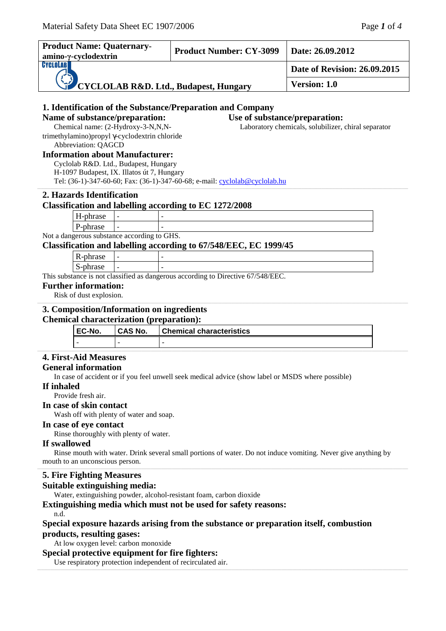| <b>Product Name: Quaternary-</b><br>amino-γ-cyclodextrin                                                                 |  | <b>Product Number: CY-3099</b>  | Date: 26.09.2012                                    |
|--------------------------------------------------------------------------------------------------------------------------|--|---------------------------------|-----------------------------------------------------|
| CYCLOLAB                                                                                                                 |  | Date of Revision: 26.09.2015    |                                                     |
| CYCLOLAB R&D. Ltd., Budapest, Hungary                                                                                    |  | Version: 1.0                    |                                                     |
|                                                                                                                          |  |                                 |                                                     |
| 1. Identification of the Substance/Preparation and Company                                                               |  |                                 |                                                     |
| Name of substance/preparation:                                                                                           |  | Use of substance/preparation:   |                                                     |
| Chemical name: (2-Hydroxy-3-N,N,N-                                                                                       |  |                                 | Laboratory chemicals, solubilizer, chiral separator |
| trimethylamino) propyl γ-cyclodextrin chloride                                                                           |  |                                 |                                                     |
| Abbreviation: QAGCD                                                                                                      |  |                                 |                                                     |
| <b>Information about Manufacturer:</b>                                                                                   |  |                                 |                                                     |
| Cyclolab R&D. Ltd., Budapest, Hungary                                                                                    |  |                                 |                                                     |
| H-1097 Budapest, IX. Illatos út 7, Hungary<br>Tel: (36-1)-347-60-60; Fax: (36-1)-347-60-68; e-mail: cyclolab@cyclolab.hu |  |                                 |                                                     |
|                                                                                                                          |  |                                 |                                                     |
| 2. Hazards Identification                                                                                                |  |                                 |                                                     |
| <b>Classification and labelling according to EC 1272/2008</b>                                                            |  |                                 |                                                     |
| H-phrase                                                                                                                 |  |                                 |                                                     |
| P-phrase                                                                                                                 |  |                                 |                                                     |
| Not a dangerous substance according to GHS.                                                                              |  |                                 |                                                     |
| Classification and labelling according to 67/548/EEC, EC 1999/45                                                         |  |                                 |                                                     |
| R-phrase                                                                                                                 |  |                                 |                                                     |
| S-phrase                                                                                                                 |  |                                 |                                                     |
| This substance is not classified as dangerous according to Directive 67/548/EEC.                                         |  |                                 |                                                     |
| <b>Further information:</b>                                                                                              |  |                                 |                                                     |
| Risk of dust explosion.                                                                                                  |  |                                 |                                                     |
| 3. Composition/Information on ingredients                                                                                |  |                                 |                                                     |
| <b>Chemical characterization (preparation):</b>                                                                          |  |                                 |                                                     |
| EC-No.<br><b>CAS No.</b>                                                                                                 |  | <b>Chemical characteristics</b> |                                                     |
|                                                                                                                          |  |                                 |                                                     |
| <b>4. First-Aid Measures</b>                                                                                             |  |                                 |                                                     |
| <b>General information</b>                                                                                               |  |                                 |                                                     |
|                                                                                                                          |  |                                 |                                                     |
| In case of accident or if you feel unwell seek medical advice (show label or MSDS where possible)                        |  |                                 |                                                     |

## **If inhaled**

Provide fresh air.

**In case of skin contact** 

Wash off with plenty of water and soap.

#### **In case of eye contact**

Rinse thoroughly with plenty of water.

#### **If swallowed**

Rinse mouth with water. Drink several small portions of water. Do not induce vomiting. Never give anything by mouth to an unconscious person.

\_\_\_\_\_\_\_\_\_\_\_\_\_\_\_\_\_\_\_\_\_\_\_\_\_\_\_\_\_\_\_\_\_\_\_\_\_\_\_\_\_\_\_\_\_\_\_\_\_\_\_\_\_\_\_\_\_\_\_\_\_\_\_\_\_\_\_\_\_\_\_\_\_\_\_\_\_\_\_\_\_\_\_\_\_\_\_\_\_\_\_\_\_\_\_\_\_\_\_\_\_\_\_\_\_\_\_\_\_\_\_\_\_\_\_\_\_\_\_\_\_\_\_\_\_\_\_\_\_\_\_\_\_\_\_\_\_\_\_\_\_\_\_\_\_\_\_\_\_\_\_\_\_\_\_\_\_\_\_\_\_\_\_\_\_\_\_\_\_\_\_\_\_\_\_\_\_\_\_\_\_\_\_\_\_\_\_\_\_\_\_\_\_\_\_\_\_\_\_\_\_\_\_\_\_\_\_\_\_\_\_\_\_\_\_\_\_\_\_\_\_\_\_\_\_\_\_\_\_\_\_\_\_\_\_\_\_\_\_\_\_\_\_\_\_\_\_\_\_\_\_\_\_\_\_\_\_\_\_\_\_\_\_\_\_\_\_\_\_\_\_\_\_\_\_\_\_\_\_\_\_\_\_\_\_\_\_\_\_\_\_\_\_\_\_\_\_\_\_\_\_\_\_\_\_\_\_\_\_\_\_\_\_\_\_\_\_

\_\_\_\_\_\_\_\_\_\_\_\_\_\_\_\_\_\_\_\_\_\_\_\_\_\_\_\_\_\_\_\_\_\_\_\_\_\_\_\_\_\_\_\_\_\_\_\_\_\_\_\_\_\_\_\_\_\_\_\_\_\_\_\_\_\_\_\_\_\_\_\_\_\_\_\_\_\_\_\_\_\_\_\_\_\_\_\_\_\_\_\_\_\_\_\_\_\_\_\_\_\_\_\_\_\_\_\_\_\_\_\_\_\_\_\_\_\_\_\_\_\_\_\_\_\_\_\_\_\_\_\_\_\_\_\_\_\_\_\_\_\_\_\_\_\_\_\_\_\_\_\_\_\_\_\_\_\_\_\_\_\_\_\_\_\_\_\_\_\_\_\_\_\_\_\_\_\_\_\_\_\_\_\_\_\_\_\_\_\_\_\_\_\_\_\_\_\_\_\_\_\_\_\_\_\_\_\_\_\_\_\_\_\_\_\_\_\_\_\_\_\_\_\_\_\_\_\_\_\_\_\_\_\_\_\_\_\_\_\_\_\_\_\_\_\_\_\_\_\_\_\_\_\_\_\_\_\_\_\_\_\_\_\_\_\_\_\_\_\_\_\_\_\_\_\_\_\_\_\_\_\_\_\_\_\_\_\_\_\_\_\_\_\_\_\_\_\_\_\_\_\_\_\_\_\_\_\_\_\_\_\_\_\_\_\_\_

# **5. Fire Fighting Measures**

# **Suitable extinguishing media:**

Water, extinguishing powder, alcohol-resistant foam, carbon dioxide

#### **Extinguishing media which must not be used for safety reasons:**

n.d.

# **Special exposure hazards arising from the substance or preparation itself, combustion products, resulting gases:**

At low oxygen level: carbon monoxide

## **Special protective equipment for fire fighters:**

Use respiratory protection independent of recirculated air.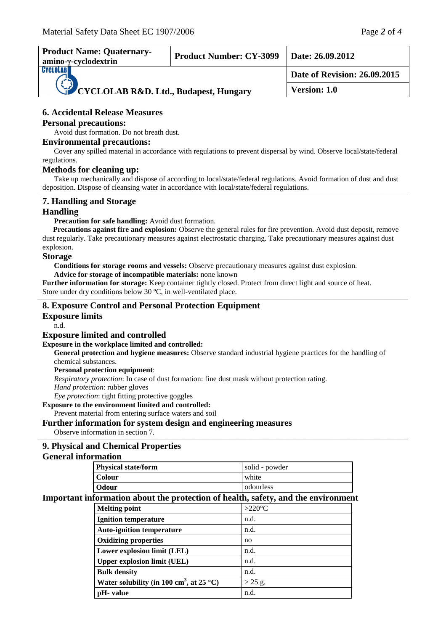| <b>Product Name: Quaternary-</b><br>amino-γ-cyclodextrin | <b>Product Number: CY-3099</b> | Date: $26.09.2012$           |
|----------------------------------------------------------|--------------------------------|------------------------------|
| <b>CYCLOLAB</b>                                          |                                | Date of Revision: 26.09.2015 |
| CYCLOLAB R&D. Ltd., Budapest, Hungary                    |                                | <b>Version: 1.0</b>          |

# **6. Accidental Release Measures**

#### **Personal precautions:**

Avoid dust formation. Do not breath dust.

#### **Environmental precautions:**

Cover any spilled material in accordance with regulations to prevent dispersal by wind. Observe local/state/federal regulations.

#### **Methods for cleaning up:**

Take up mechanically and dispose of according to local/state/federal regulations. Avoid formation of dust and dust deposition. Dispose of cleansing water in accordance with local/state/federal regulations. ,一个人的人都是不是,我们的人都是不是,我们的人都是不是,我们的人都是不是,我们的人都是不是,我们的人都是不是,我们的人都是不是,我们的人都是不是,我们的人都是不

# **7. Handling and Storage**

## **Handling**

**Precaution for safe handling:** Avoid dust formation.

**Precautions against fire and explosion:** Observe the general rules for fire prevention. Avoid dust deposit, remove dust regularly. Take precautionary measures against electrostatic charging. Take precautionary measures against dust explosion.

,一个人的人都是不是,我们的人都是不是,我们的人都是不是,我们的人都是不是,我们的人都是不是,我们的人都是不是,我们的人都是不是,我们的人都是不是,我们的人都是不

#### **Storage**

**Conditions for storage rooms and vessels:** Observe precautionary measures against dust explosion. **Advice for storage of incompatible materials:** none known

**Further information for storage:** Keep container tightly closed. Protect from direct light and source of heat. Store under dry conditions below 30 ºC, in well-ventilated place.

## **8. Exposure Control and Personal Protection Equipment**

## **Exposure limits**

n.d.

# **Exposure limited and controlled**

## **Exposure in the workplace limited and controlled:**

**General protection and hygiene measures:** Observe standard industrial hygiene practices for the handling of chemical substances.

#### **Personal protection equipment**:

*Respiratory protection*: In case of dust formation: fine dust mask without protection rating.

*Hand protection*: rubber gloves

*Eye protection*: tight fitting protective goggles

#### **Exposure to the environment limited and controlled:**

Prevent material from entering surface waters and soil

## **Further information for system design and engineering measures**

Observe information in section 7.

# **9. Physical and Chemical Properties**

## **General information**

| solid - powder<br><b>Physical state/form</b> |           |
|----------------------------------------------|-----------|
| Colour                                       | white     |
| Odour                                        | odourless |

,一个人的人都是不是,我们的人都是不是,我们的人都是不是,我们的人都是不是,我们的人都是不是,我们的人都是不是,我们的人都是不是,我们的人都是不是,我们的人都是不

# **Important information about the protection of health, safety, and the environment**

| <b>Melting point</b>                                 | $>220^{\circ}$ C |
|------------------------------------------------------|------------------|
| <b>Ignition temperature</b>                          | n.d.             |
| <b>Auto-ignition temperature</b>                     | n.d.             |
| <b>Oxidizing properties</b>                          | no               |
| Lower explosion limit (LEL)                          | n.d.             |
| <b>Upper explosion limit (UEL)</b>                   | n.d.             |
| <b>Bulk density</b>                                  | n.d.             |
| Water solubility (in 100 cm <sup>3</sup> , at 25 °C) | $>$ 25 g.        |
| pH- value                                            | n.d.             |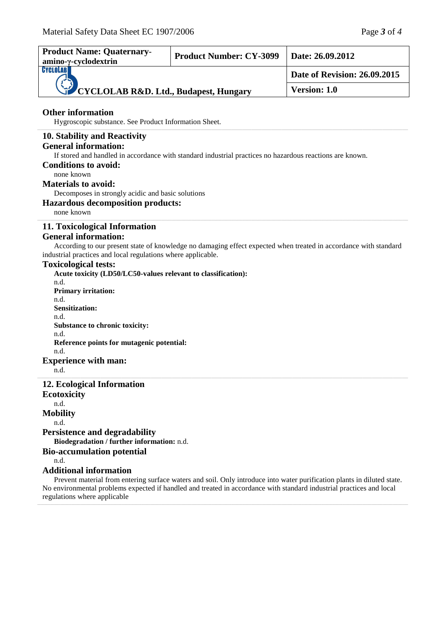| <b>Product Name: Quaternary-</b><br>amino-y-cyclodextrin                                                                                                                                                                                                                                                                                                                                                        | <b>Product Number: CY-3099</b> | Date: 26.09.2012                                                                                                        |
|-----------------------------------------------------------------------------------------------------------------------------------------------------------------------------------------------------------------------------------------------------------------------------------------------------------------------------------------------------------------------------------------------------------------|--------------------------------|-------------------------------------------------------------------------------------------------------------------------|
| CYCLOLAB<br><b>CYCLOLAB R&amp;D. Ltd., Budapest, Hungary</b>                                                                                                                                                                                                                                                                                                                                                    |                                | <b>Date of Revision: 26.09.2015</b>                                                                                     |
|                                                                                                                                                                                                                                                                                                                                                                                                                 |                                | Version: 1.0                                                                                                            |
| <b>Other information</b><br>Hygroscopic substance. See Product Information Sheet.                                                                                                                                                                                                                                                                                                                               |                                |                                                                                                                         |
| 10. Stability and Reactivity<br><b>General information:</b><br>If stored and handled in accordance with standard industrial practices no hazardous reactions are known.<br><b>Conditions to avoid:</b><br>none known<br><b>Materials to avoid:</b><br>Decomposes in strongly acidic and basic solutions<br><b>Hazardous decomposition products:</b><br>none known                                               |                                |                                                                                                                         |
| 11. Toxicological Information<br><b>General information:</b><br>industrial practices and local regulations where applicable.<br><b>Toxicological tests:</b><br>Acute toxicity (LD50/LC50-values relevant to classification):<br>n.d.<br><b>Primary irritation:</b><br>n.d.<br><b>Sensitization:</b><br>n.d.<br>Substance to chronic toxicity:<br>n.d.<br>Reference points for mutagenic potential:<br>n.d.      |                                | According to our present state of knowledge no damaging effect expected when treated in accordance with standard        |
| <b>Experience with man:</b><br>n.d.                                                                                                                                                                                                                                                                                                                                                                             |                                |                                                                                                                         |
| 12. Ecological Information<br><b>Ecotoxicity</b><br>n.d.<br><b>Mobility</b><br>n.d.<br><b>Persistence and degradability</b><br>Biodegradation / further information: n.d.<br><b>Bio-accumulation potential</b><br>n.d.<br><b>Additional information</b><br>No environmental problems expected if handled and treated in accordance with standard industrial practices and local<br>regulations where applicable |                                | Prevent material from entering surface waters and soil. Only introduce into water purification plants in diluted state. |